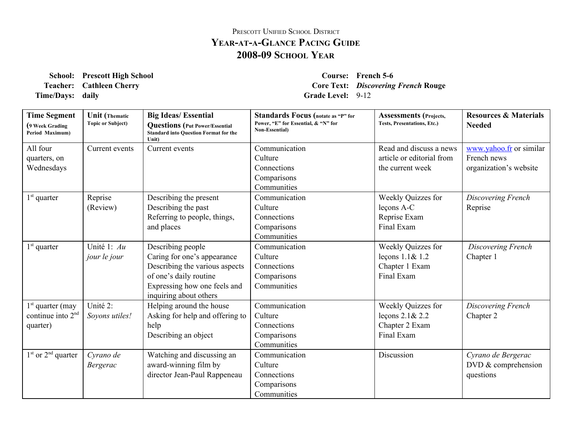## PRESCOTT UNIFIED SCHOOL DISTRICT **YEARATAGLANCE PACING GUIDE 200809 SCHOOL YEAR**

**School: Prescott High School Course: French 56 Time/Days:** daily **Grade** Level: 9-12

**Teacher: Cathleen Cherry Core Text:** *Discovering French* **Rouge**

| <b>Time Segment</b><br>(9 Week Grading<br>Period Maximum) | <b>Unit</b> (Thematic<br><b>Topic or Subject)</b> | <b>Big Ideas/Essential</b><br><b>Questions</b> (Put Power/Essential<br><b>Standard into Question Format for the</b><br>Unit)                                           | <b>Standards Focus</b> (notate as "P" for<br>Power, "E" for Essential, & "N" for<br><b>Non-Essential</b> ) | <b>Assessments</b> (Projects,<br>Tests, Presentations, Etc.)             | <b>Resources &amp; Materials</b><br><b>Needed</b>                |
|-----------------------------------------------------------|---------------------------------------------------|------------------------------------------------------------------------------------------------------------------------------------------------------------------------|------------------------------------------------------------------------------------------------------------|--------------------------------------------------------------------------|------------------------------------------------------------------|
| All four<br>quarters, on<br>Wednesdays                    | Current events                                    | Current events                                                                                                                                                         | Communication<br>Culture<br>Connections<br>Comparisons<br>Communities                                      | Read and discuss a news<br>article or editorial from<br>the current week | www.yahoo.fr or similar<br>French news<br>organization's website |
| $1st$ quarter                                             | Reprise<br>(Review)                               | Describing the present<br>Describing the past<br>Referring to people, things,<br>and places                                                                            | Communication<br>Culture<br>Connections<br>Comparisons<br>Communities                                      | Weekly Quizzes for<br>leçons A-C<br>Reprise Exam<br>Final Exam           | Discovering French<br>Reprise                                    |
| $1st$ quarter                                             | Unité 1: Au<br>jour le jour                       | Describing people<br>Caring for one's appearance<br>Describing the various aspects<br>of one's daily routine<br>Expressing how one feels and<br>inquiring about others | Communication<br>Culture<br>Connections<br>Comparisons<br>Communities                                      | Weekly Quizzes for<br>leçons 1.1& 1.2<br>Chapter 1 Exam<br>Final Exam    | Discovering French<br>Chapter 1                                  |
| $1st$ quarter (may<br>continue into $2nd$<br>quarter)     | Unité 2:<br>Soyons utiles!                        | Helping around the house<br>Asking for help and offering to<br>help<br>Describing an object                                                                            | Communication<br>Culture<br>Connections<br>Comparisons<br>Communities                                      | Weekly Quizzes for<br>leçons $2.1 & 2.2$<br>Chapter 2 Exam<br>Final Exam | Discovering French<br>Chapter 2                                  |
| $1st$ or $2nd$ quarter                                    | Cyrano de<br><b>Bergerac</b>                      | Watching and discussing an<br>award-winning film by<br>director Jean-Paul Rappeneau                                                                                    | Communication<br>Culture<br>Connections<br>Comparisons<br>Communities                                      | Discussion                                                               | Cyrano de Bergerac<br>DVD $&$ comprehension<br>questions         |